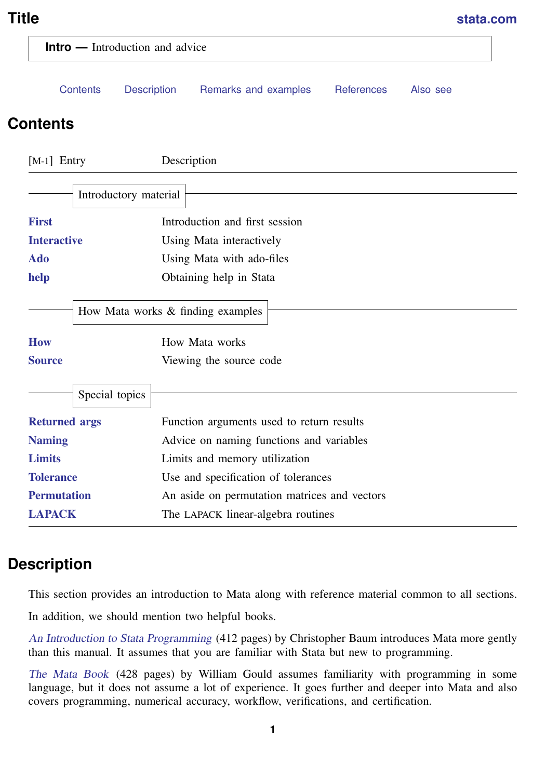## <span id="page-0-2"></span>**Title [stata.com](http://stata.com)**

<span id="page-0-0"></span>

| <b>Intro</b> — Introduction and advice |                                   |                                              |                   |          |
|----------------------------------------|-----------------------------------|----------------------------------------------|-------------------|----------|
| Contents                               | <b>Description</b>                | Remarks and examples                         | <b>References</b> | Also see |
| <b>Contents</b>                        |                                   |                                              |                   |          |
| $[M-1]$ Entry                          | Description                       |                                              |                   |          |
|                                        | Introductory material             |                                              |                   |          |
| <b>First</b>                           |                                   | Introduction and first session               |                   |          |
| <b>Interactive</b>                     |                                   | Using Mata interactively                     |                   |          |
| Ado                                    | Using Mata with ado-files         |                                              |                   |          |
| help                                   |                                   | Obtaining help in Stata                      |                   |          |
|                                        | How Mata works & finding examples |                                              |                   |          |
| <b>How</b>                             |                                   | How Mata works                               |                   |          |
| <b>Source</b>                          |                                   | Viewing the source code                      |                   |          |
| Special topics                         |                                   |                                              |                   |          |
| <b>Returned args</b>                   |                                   | Function arguments used to return results    |                   |          |
| <b>Naming</b>                          |                                   | Advice on naming functions and variables     |                   |          |
| <b>Limits</b>                          |                                   | Limits and memory utilization                |                   |          |
| <b>Tolerance</b>                       |                                   | Use and specification of tolerances          |                   |          |
| <b>Permutation</b>                     |                                   | An aside on permutation matrices and vectors |                   |          |
| <b>LAPACK</b>                          |                                   | The LAPACK linear-algebra routines           |                   |          |

# <span id="page-0-1"></span>**Description**

This section provides an introduction to Mata along with reference material common to all sections.

In addition, we should mention two helpful books.

[An Introduction to Stata Programming](https://www.stata-press.com/books/introduction-stata-programming/) (412 pages) by Christopher Baum introduces Mata more gently than this manual. It assumes that you are familiar with Stata but new to programming.

[The Mata Book](https://www.stata-press.com/books/mata-book/) (428 pages) by William Gould assumes familiarity with programming in some language, but it does not assume a lot of experience. It goes further and deeper into Mata and also covers programming, numerical accuracy, workflow, verifications, and certification.